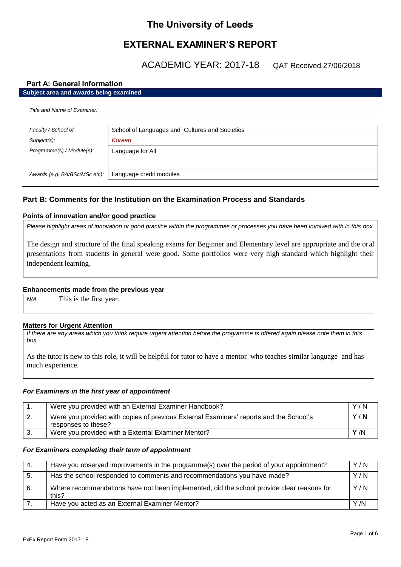# **The University of Leeds**

# **EXTERNAL EXAMINER'S REPORT**

ACADEMIC YEAR: 2017-18 QAT Received 27/06/2018

# **Part A: General Information**

| Subject area and awards being examined |  |
|----------------------------------------|--|

| Title and Name of Examiner:   |                                                |  |
|-------------------------------|------------------------------------------------|--|
| Faculty / School of:          | School of Languages and Cultures and Societies |  |
| Subject(s):                   | Korean                                         |  |
| Programme(s) / Module(s):     | Language for All                               |  |
|                               |                                                |  |
| Awards (e.g. BA/BSc/MSc etc): | Language credit modules                        |  |

# **Part B: Comments for the Institution on the Examination Process and Standards**

# **Points of innovation and/or good practice**

*Please highlight areas of innovation or good practice within the programmes or processes you have been involved with in this box.*

The design and structure of the final speaking exams for Beginner and Elementary level are appropriate and the oral presentations from students in general were good. Some portfolios were very high standard which highlight their independent learning.

# **Enhancements made from the previous year**

*N/A* This is the first year.

# **Matters for Urgent Attention**

*If there are any areas which you think require urgent attention before the programme is offered again please note them in this box*

As the tutor is new to this role, it will be helpful for tutor to have a mentor who teaches similar language and has much experience.

# *For Examiners in the first year of appointment*

|          | Were you provided with an External Examiner Handbook?                                                         | Y/N  |
|----------|---------------------------------------------------------------------------------------------------------------|------|
| <u>.</u> | Were you provided with copies of previous External Examiners' reports and the School's<br>responses to these? | Y/N  |
|          | Were you provided with a External Examiner Mentor?                                                            | Y /N |

# *For Examiners completing their term of appointment*

| $\mathbf{A}$ | Have you observed improvements in the programme(s) over the period of your appointment?            | Y/N |
|--------------|----------------------------------------------------------------------------------------------------|-----|
| 5.           | Has the school responded to comments and recommendations you have made?                            | Y/N |
|              | Where recommendations have not been implemented, did the school provide clear reasons for<br>this? | Y/N |
|              | Have you acted as an External Examiner Mentor?                                                     | Y/N |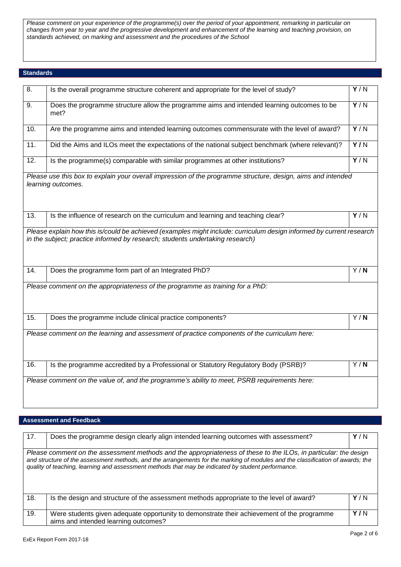*Please comment on your experience of the programme(s) over the period of your appointment, remarking in particular on changes from year to year and the progressive development and enhancement of the learning and teaching provision, on standards achieved, on marking and assessment and the procedures of the School*

### **Standards**

| 8.                | Is the overall programme structure coherent and appropriate for the level of study?                                                                                                                   | Y/N              |
|-------------------|-------------------------------------------------------------------------------------------------------------------------------------------------------------------------------------------------------|------------------|
| 9.                | Does the programme structure allow the programme aims and intended learning outcomes to be<br>met?                                                                                                    | $\overline{Y/N}$ |
| 10.               | Are the programme aims and intended learning outcomes commensurate with the level of award?                                                                                                           | $\overline{Y/N}$ |
| $\overline{11}$ . | Did the Aims and ILOs meet the expectations of the national subject benchmark (where relevant)?                                                                                                       | $\overline{Y/N}$ |
| $\overline{12}$ . | Is the programme(s) comparable with similar programmes at other institutions?                                                                                                                         | $\overline{Y/N}$ |
|                   | Please use this box to explain your overall impression of the programme structure, design, aims and intended<br>learning outcomes.                                                                    |                  |
| $\overline{1}3.$  | Is the influence of research on the curriculum and learning and teaching clear?                                                                                                                       | Y/N              |
|                   | Please explain how this is/could be achieved (examples might include: curriculum design informed by current research<br>in the subject; practice informed by research; students undertaking research) |                  |
| 14.               | Does the programme form part of an Integrated PhD?                                                                                                                                                    | Y/N              |
|                   | Please comment on the appropriateness of the programme as training for a PhD:                                                                                                                         |                  |
| 15.               | Does the programme include clinical practice components?                                                                                                                                              | Y/N              |
|                   | Please comment on the learning and assessment of practice components of the curriculum here:                                                                                                          |                  |
| 16.               | Is the programme accredited by a Professional or Statutory Regulatory Body (PSRB)?                                                                                                                    | $\overline{Y/N}$ |
|                   | Please comment on the value of, and the programme's ability to meet, PSRB requirements here:                                                                                                          |                  |

# **Assessment and Feedback**

| 17. | Does the programme design clearly align intended learning outcomes with assessment?                                                                                                                                                                                                                                                                      | Y/N |
|-----|----------------------------------------------------------------------------------------------------------------------------------------------------------------------------------------------------------------------------------------------------------------------------------------------------------------------------------------------------------|-----|
|     | Please comment on the assessment methods and the appropriateness of these to the ILOs, in particular: the design<br>and structure of the assessment methods, and the arrangements for the marking of modules and the classification of awards; the<br>quality of teaching, learning and assessment methods that may be indicated by student performance. |     |
| 18. | Is the design and structure of the assessment methods appropriate to the level of award?                                                                                                                                                                                                                                                                 | Y/N |
| 19. | Were students given adequate opportunity to demonstrate their achievement of the programme<br>aims and intended learning outcomes?                                                                                                                                                                                                                       | Y/N |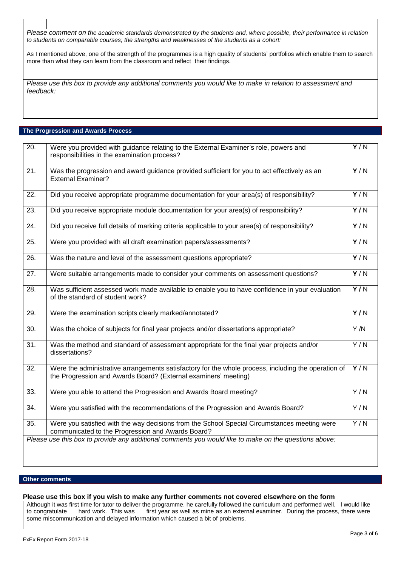*Please comment on the academic standards demonstrated by the students and, where possible, their performance in relation to students on comparable courses; the strengths and weaknesses of the students as a cohort:*

As I mentioned above, one of the strength of the programmes is a high quality of students' portfolios which enable them to search more than what they can learn from the classroom and reflect their findings.

*Please use this box to provide any additional comments you would like to make in relation to assessment and feedback:*

### **The Progression and Awards Process**

| 20.               | Were you provided with guidance relating to the External Examiner's role, powers and<br>responsibilities in the examination process?                                   | Y/N              |
|-------------------|------------------------------------------------------------------------------------------------------------------------------------------------------------------------|------------------|
| $\overline{21}$ . | Was the progression and award guidance provided sufficient for you to act effectively as an<br><b>External Examiner?</b>                                               | Y/N              |
| $\overline{22}$ . | Did you receive appropriate programme documentation for your area(s) of responsibility?                                                                                | Y/N              |
| 23.               | Did you receive appropriate module documentation for your area(s) of responsibility?                                                                                   | $\overline{Y/N}$ |
| 24.               | Did you receive full details of marking criteria applicable to your area(s) of responsibility?                                                                         | Y/N              |
| 25.               | Were you provided with all draft examination papers/assessments?                                                                                                       | Y/N              |
| $\overline{26}$ . | Was the nature and level of the assessment questions appropriate?                                                                                                      | Y/N              |
| $\overline{27}$ . | Were suitable arrangements made to consider your comments on assessment questions?                                                                                     | Y/N              |
| 28.               | Was sufficient assessed work made available to enable you to have confidence in your evaluation<br>of the standard of student work?                                    | $\overline{Y/N}$ |
| 29.               | Were the examination scripts clearly marked/annotated?                                                                                                                 | $\overline{Y/N}$ |
| $\overline{30}$ . | Was the choice of subjects for final year projects and/or dissertations appropriate?                                                                                   | Y/N              |
| $\overline{31}$ . | Was the method and standard of assessment appropriate for the final year projects and/or<br>dissertations?                                                             | Y/N              |
| $\overline{32}$ . | Were the administrative arrangements satisfactory for the whole process, including the operation of<br>the Progression and Awards Board? (External examiners' meeting) | Y/N              |
| 33.               | Were you able to attend the Progression and Awards Board meeting?                                                                                                      | Y/N              |
| 34.               | Were you satisfied with the recommendations of the Progression and Awards Board?                                                                                       | Y/N              |
| $\overline{35}$ . | Were you satisfied with the way decisions from the School Special Circumstances meeting were<br>communicated to the Progression and Awards Board?                      | Y/N              |
|                   | Please use this box to provide any additional comments you would like to make on the questions above:                                                                  |                  |

# **Other comments**

#### **Please use this box if you wish to make any further comments not covered elsewhere on the form**

Although it was first time for tutor to deliver the programme, he carefully followed the curriculum and performed well. I would like to congratulate hard work. This was first year as well as mine as an external examiner. During the process, there were some miscommunication and delayed information which caused a bit of problems.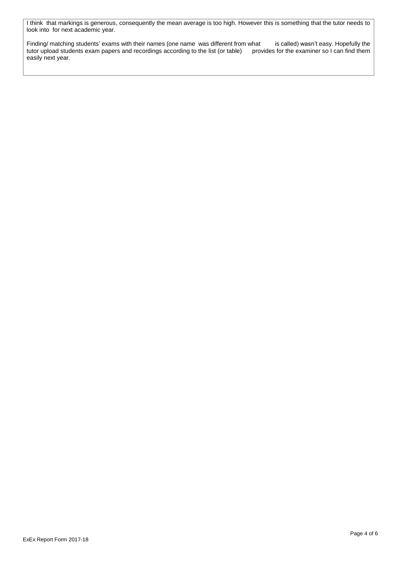I think that markings is generous, consequently the mean average is too high. However this is something that the tutor needs to look into for next academic year.

Finding/ matching students' exams with their names (one name was different from what is called) wasn't easy. Hopefully the tutor upload students exam papers and recordings according to the list (or table) provides for the tutor upload students exam papers and recordings according to the list (or table) easily next year.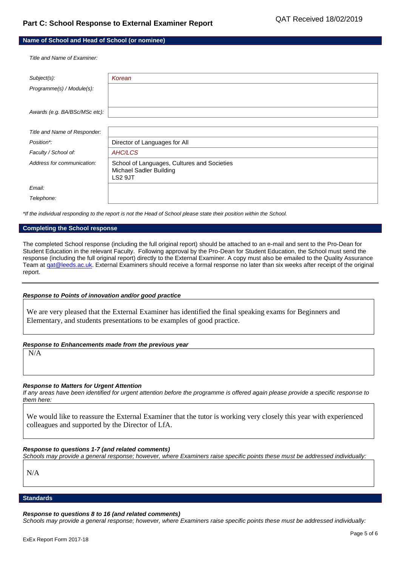| Name of School and Head of School (or nominee) |  |
|------------------------------------------------|--|
|------------------------------------------------|--|

*Title and Name of Examiner:*

| Subject(s):                   | Korean                                                                                   |
|-------------------------------|------------------------------------------------------------------------------------------|
| Programme(s) / Module(s):     |                                                                                          |
|                               |                                                                                          |
| Awards (e.g. BA/BSc/MSc etc): |                                                                                          |
|                               |                                                                                          |
| Title and Name of Responder:  |                                                                                          |
| Position*:                    | Director of Languages for All                                                            |
| Faculty / School of:          | AHC/LCS                                                                                  |
| Address for communication:    | School of Languages, Cultures and Societies<br><b>Michael Sadler Building</b><br>LS2 9JT |
| Email:                        |                                                                                          |
| Telephone:                    |                                                                                          |

*\*If the individual responding to the report is not the Head of School please state their position within the School.*

#### **Completing the School response**

The completed School response (including the full original report) should be attached to an e-mail and sent to the Pro-Dean for Student Education in the relevant Faculty. Following approval by the Pro-Dean for Student Education, the School must send the response (including the full original report) directly to the External Examiner. A copy must also be emailed to the Quality Assurance Team at gat@leeds.ac.uk. External Examiners should receive a formal response no later than six weeks after receipt of the original report.

#### *Response to Points of innovation and/or good practice*

We are very pleased that the External Examiner has identified the final speaking exams for Beginners and Elementary, and students presentations to be examples of good practice.

#### *Response to Enhancements made from the previous year*

N/A

# *Response to Matters for Urgent Attention*

*If any areas have been identified for urgent attention before the programme is offered again please provide a specific response to them here:*

We would like to reassure the External Examiner that the tutor is working very closely this year with experienced colleagues and supported by the Director of LfA.

# *Response to questions 1-7 (and related comments)*

*Schools may provide a general response; however, where Examiners raise specific points these must be addressed individually:*

N/A

#### **Standards**

#### *Response to questions 8 to 16 (and related comments)*

*Schools may provide a general response; however, where Examiners raise specific points these must be addressed individually:*